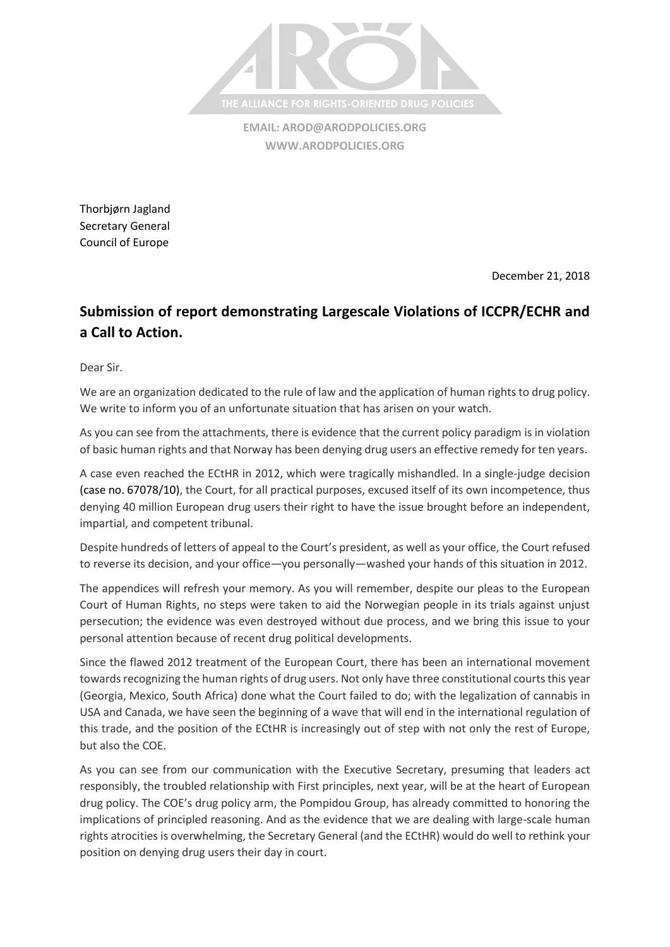

**EMAIL: [AROD@ARODPOLICIES.ORG](mailto:AROD@ARODPOLICIES.ORG) [WWW.ARODPOLICIES.ORG](http://www.arodpolicies.org/)**

Thorbjørn Jagland Secretary General Council of Europe

December 21, 2018

## **Submission of report demonstrating Largescale Violations of ICCPR/ECHR and a Call to Action.**

Dear Sir.

We are an organization dedicated to the rule of law and the application of human rights to drug policy. We write to inform you of an unfortunate situation that has arisen on your watch.

As you can see from the attachments, there is evidence that the current policy paradigm is in violation of basic human rights and that Norway has been denying drug users an effective remedy for ten years.

A case even reached the ECtHR in 2012, which were tragically mishandled. In a single-judge decision (case no. 67078/10), the Court, for all practical purposes, excused itself of its own incompetence, thus denying 40 million European drug users their right to have the issue brought before an independent, impartial, and competent tribunal.

Despite hundreds of letters of appeal to the Court's president, as well as your office, the Court refused to reverse its decision, and your office—you personally—washed your hands of this situation in 2012.

The appendices will refresh your memory. As you will remember, despite our pleas to the European Court of Human Rights, no steps were taken to aid the Norwegian people in its trials against unjust persecution; the evidence was even destroyed without due process, and we bring this issue to your personal attention because of recent drug political developments.

Since the flawed 2012 treatment of the European Court, there has been an international movement towards recognizing the human rights of drug users. Not only have three constitutional courts this year (Georgia, Mexico, South Africa) done what the Court failed to do; with the legalization of cannabis in USA and Canada, we have seen the beginning of a wave that will end in the international regulation of this trade, and the position of the ECtHR is increasingly out of step with not only the rest of Europe, but also the COE.

As you can see from our communication with the Executive Secretary, presuming that leaders act responsibly, the troubled relationship with First principles, next year, will be at the heart of European drug policy. The COE's drug policy arm, the Pompidou Group, has already committed to honoring the implications of principled reasoning. And as the evidence that we are dealing with large-scale human rights atrocities is overwhelming, the Secretary General (and the ECtHR) would do well to rethink your position on denying drug users their day in court.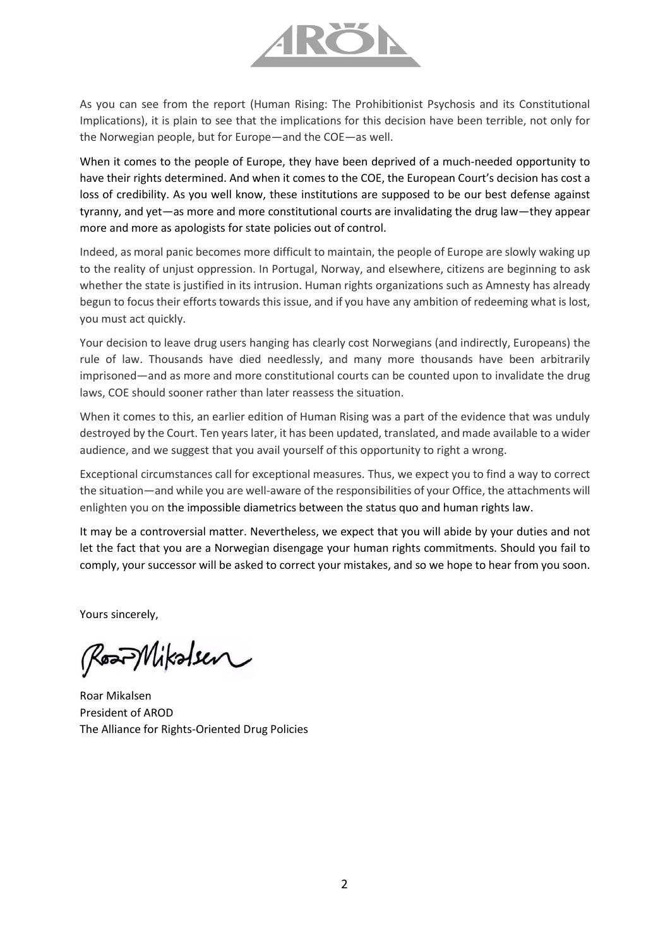

As you can see from the report (Human Rising: The Prohibitionist Psychosis and its Constitutional Implications), it is plain to see that the implications for this decision have been terrible, not only for the Norwegian people, but for Europe—and the COE—as well.

When it comes to the people of Europe, they have been deprived of a much-needed opportunity to have their rights determined. And when it comes to the COE, the European Court's decision has cost a loss of credibility. As you well know, these institutions are supposed to be our best defense against tyranny, and yet—as more and more constitutional courts are invalidating the drug law—they appear more and more as apologists for state policies out of control.

Indeed, as moral panic becomes more difficult to maintain, the people of Europe are slowly waking up to the reality of unjust oppression. In Portugal, Norway, and elsewhere, citizens are beginning to ask whether the state is justified in its intrusion. Human rights organizations such as Amnesty has already begun to focus their efforts towards this issue, and if you have any ambition of redeeming what is lost, you must act quickly.

Your decision to leave drug users hanging has clearly cost Norwegians (and indirectly, Europeans) the rule of law. Thousands have died needlessly, and many more thousands have been arbitrarily imprisoned—and as more and more constitutional courts can be counted upon to invalidate the drug laws, COE should sooner rather than later reassess the situation.

When it comes to this, an earlier edition of Human Rising was a part of the evidence that was unduly destroyed by the Court. Ten years later, it has been updated, translated, and made available to a wider audience, and we suggest that you avail yourself of this opportunity to right a wrong.

Exceptional circumstances call for exceptional measures. Thus, we expect you to find a way to correct the situation—and while you are well-aware of the responsibilities of your Office, the attachments will enlighten you on the impossible diametrics between the status quo and human rights law.

It may be a controversial matter. Nevertheless, we expect that you will abide by your duties and not let the fact that you are a Norwegian disengage your human rights commitments. Should you fail to comply, your successor will be asked to correct your mistakes, and so we hope to hear from you soon.

Yours sincerely,

RostMikolsen

Roar Mikalsen President of AROD The Alliance for Rights-Oriented Drug Policies